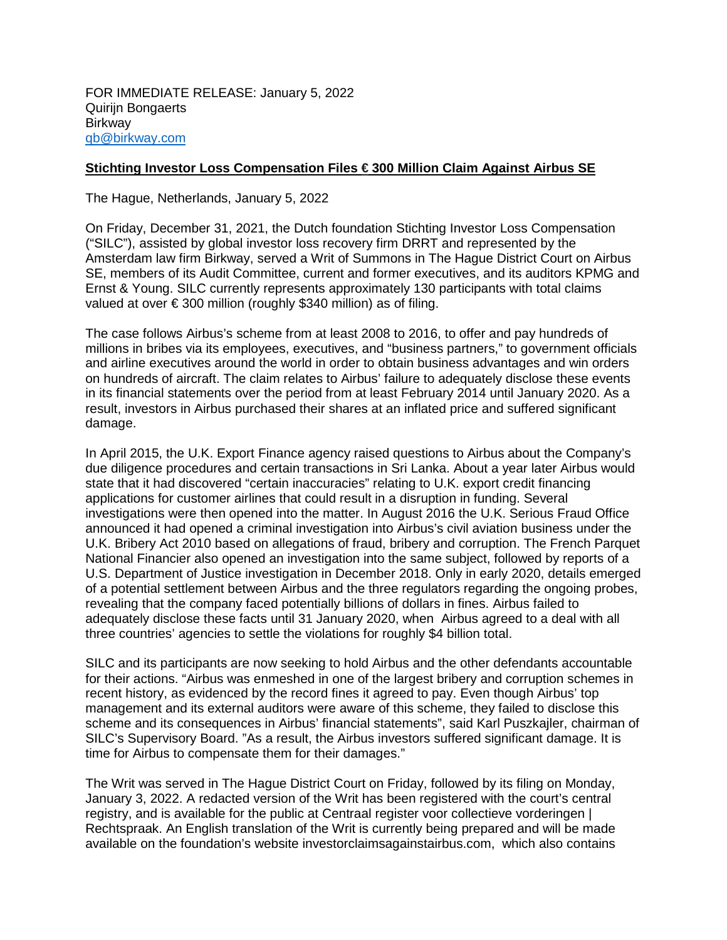## **Stichting Investor Loss Compensation Files € 300 Million Claim Against Airbus SE**

The Hague, Netherlands, January 5, 2022

On Friday, December 31, 2021, the Dutch foundation Stichting Investor Loss Compensation ("SILC"), assisted by global investor loss recovery firm DRRT and represented by the Amsterdam law firm Birkway, served a Writ of Summons in The Hague District Court on Airbus SE, members of its Audit Committee, current and former executives, and its auditors KPMG and Ernst & Young. SILC currently represents approximately 130 participants with total claims valued at over € 300 million (roughly \$340 million) as of filing.

The case follows Airbus's scheme from at least 2008 to 2016, to offer and pay hundreds of millions in bribes via its employees, executives, and "business partners," to government officials and airline executives around the world in order to obtain business advantages and win orders on hundreds of aircraft. The claim relates to Airbus' failure to adequately disclose these events in its financial statements over the period from at least February 2014 until January 2020. As a result, investors in Airbus purchased their shares at an inflated price and suffered significant damage.

In April 2015, the U.K. Export Finance agency raised questions to Airbus about the Company's due diligence procedures and certain transactions in Sri Lanka. About a year later Airbus would state that it had discovered "certain inaccuracies" relating to U.K. export credit financing applications for customer airlines that could result in a disruption in funding. Several investigations were then opened into the matter. In August 2016 the U.K. Serious Fraud Office announced it had opened a criminal investigation into Airbus's civil aviation business under the U.K. Bribery Act 2010 based on allegations of fraud, bribery and corruption. The French Parquet National Financier also opened an investigation into the same subject, followed by reports of a U.S. Department of Justice investigation in December 2018. Only in early 2020, details emerged of a potential settlement between Airbus and the three regulators regarding the ongoing probes, revealing that the company faced potentially billions of dollars in fines. Airbus failed to adequately disclose these facts until 31 January 2020, when Airbus agreed to a deal with all three countries' agencies to settle the violations for roughly \$4 billion total.

SILC and its participants are now seeking to hold Airbus and the other defendants accountable for their actions. "Airbus was enmeshed in one of the largest bribery and corruption schemes in recent history, as evidenced by the record fines it agreed to pay. Even though Airbus' top management and its external auditors were aware of this scheme, they failed to disclose this scheme and its consequences in Airbus' financial statements", said Karl Puszkajler, chairman of SILC's Supervisory Board. "As a result, the Airbus investors suffered significant damage. It is time for Airbus to compensate them for their damages."

The Writ was served in The Hague District Court on Friday, followed by its filing on Monday, January 3, 2022. A redacted version of the Writ has been registered with the court's central registry, and is available for the public at Centraal register voor collectieve vorderingen | Rechtspraak. An English translation of the Writ is currently being prepared and will be made available on the foundation's website investorclaimsagainstairbus.com, which also contains